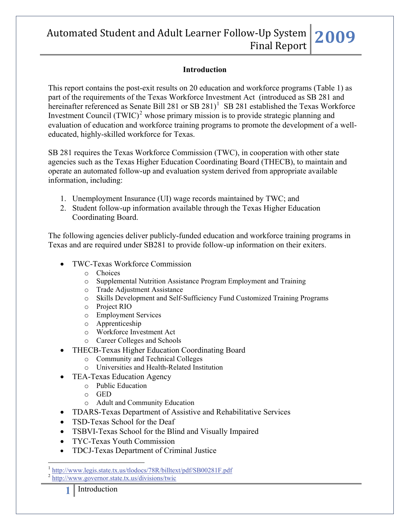# Automated Student and Adult Learner Follow‐Up System Final Report **2009**

#### **Introduction**

This report contains the post-exit results on 20 education and workforce programs (Table 1) as part of the requirements of the Texas Workforce Investment Act (introduced as SB 281 and hereinafter referenced as Senate Bill 28[1](#page-0-0) or  $SB$  281)<sup>1</sup> SB 281 established the Texas Workforce Investment Council  $(TWIC)^2$  $(TWIC)^2$  whose primary mission is to provide strategic planning and evaluation of education and workforce training programs to promote the development of a welleducated, highly-skilled workforce for Texas.

SB 281 requires the Texas Workforce Commission (TWC), in cooperation with other state agencies such as the Texas Higher Education Coordinating Board (THECB), to maintain and operate an automated follow-up and evaluation system derived from appropriate available information, including:

- 1. Unemployment Insurance (UI) wage records maintained by TWC; and
- 2. Student follow-up information available through the Texas Higher Education Coordinating Board.

The following agencies deliver publicly-funded education and workforce training programs in Texas and are required under SB281 to provide follow-up information on their exiters.

- TWC-Texas Workforce Commission
	- o Choices
	- o Supplemental Nutrition Assistance Program Employment and Training
	- o Trade Adjustment Assistance
	- o Skills Development and Self-Sufficiency Fund Customized Training Programs
	- o Project RIO
	- o Employment Services
	- o Apprenticeship
	- o Workforce Investment Act
	- o Career Colleges and Schools
- THECB-Texas Higher Education Coordinating Board
	- o Community and Technical Colleges
	- o Universities and Health-Related Institution
- TEA-Texas Education Agency
	- o Public Education
	- o GED
	- o Adult and Community Education
- TDARS-Texas Department of Assistive and Rehabilitative Services
- TSD-Texas School for the Deaf
- TSBVI-Texas School for the Blind and Visually Impaired
- TYC-Texas Youth Commission
- TDCJ-Texas Department of Criminal Justice

<span id="page-0-0"></span> $\overline{a}$ <sup>1</sup> <http://www.legis.state.tx.us/tlodocs/78R/billtext/pdf/SB00281F.pdf><br><sup>2</sup> <http://www.governor.state.tx.us/divisions/twic>

<span id="page-0-1"></span>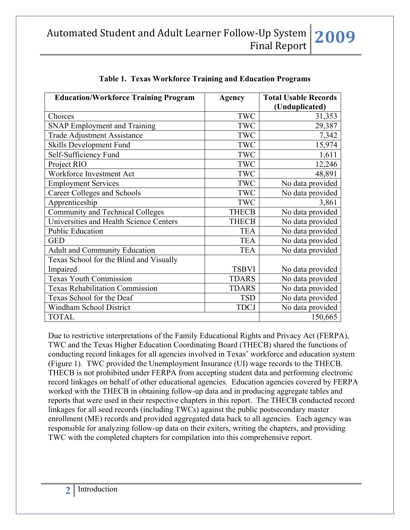| <b>Education/Workforce Training Program</b> | Agency       | <b>Total Usable Records</b><br>(Unduplicated) |
|---------------------------------------------|--------------|-----------------------------------------------|
| Choices                                     | <b>TWC</b>   | 31,353                                        |
| <b>SNAP Employment and Training</b>         | <b>TWC</b>   | 29,387                                        |
| <b>Trade Adjustment Assistance</b>          | TWC          | 7,342                                         |
| Skills Development Fund                     | TWC          | 15,974                                        |
| Self-Sufficiency Fund                       | TWC          | 1,611                                         |
| Project RIO                                 | <b>TWC</b>   | 12,246                                        |
| Workforce Investment Act                    | <b>TWC</b>   | 48,891                                        |
| <b>Employment Services</b>                  | TWC          | No data provided                              |
| Career Colleges and Schools                 | TWC          | No data provided                              |
| Apprenticeship                              | <b>TWC</b>   | 3,861                                         |
| Community and Technical Colleges            | <b>THECB</b> | No data provided                              |
| Universities and Health Science Centers     | <b>THECB</b> | No data provided                              |
| <b>Public Education</b>                     | <b>TEA</b>   | No data provided                              |
| <b>GED</b>                                  | <b>TEA</b>   | No data provided                              |
| <b>Adult and Community Education</b>        | <b>TEA</b>   | No data provided                              |
| Texas School for the Blind and Visually     |              |                                               |
| Impaired                                    | <b>TSBVI</b> | No data provided                              |
| <b>Texas Youth Commission</b>               | <b>TDARS</b> | No data provided                              |
| Texas Rehabilitation Commission             | <b>TDARS</b> | No data provided                              |
| Texas School for the Deaf                   | <b>TSD</b>   | No data provided                              |
| Windham School District                     | <b>TDCJ</b>  | No data provided                              |
| <b>TOTAL</b>                                |              | 150,665                                       |

| Table 1. Texas Workforce Training and Education Programs |
|----------------------------------------------------------|
|----------------------------------------------------------|

Due to restrictive interpretations of the Family Educational Rights and Privacy Act (FERPA), TWC and the Texas Higher Education Coordinating Board (THECB) shared the functions of conducting record linkages for all agencies involved in Texas' workforce and education system (Figure 1). TWC provided the Unemployment Insurance (UI) wage records to the THECB. THECB is not prohibited under FERPA from accepting student data and performing electronic record linkages on behalf of other educational agencies. Education agencies covered by FERPA worked with the THECB in obtaining follow-up data and in producing aggregate tables and reports that were used in their respective chapters in this report. The THECB conducted record linkages for all seed records (including TWCs) against the public postsecondary master enrollment (ME) records and provided aggregated data back to all agencies. Each agency was responsible for analyzing follow-up data on their exiters, writing the chapters, and providing TWC with the completed chapters for compilation into this comprehensive report.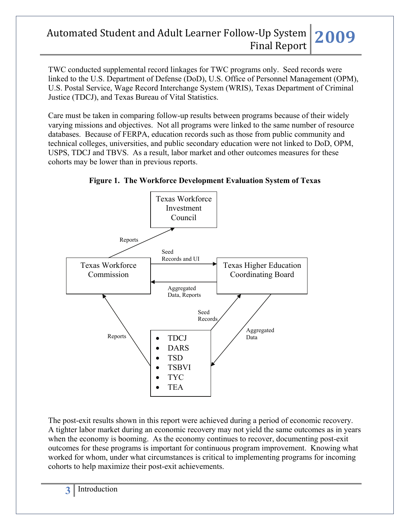# Automated Student and Adult Learner Follow‐Up System Final Report **2009**

TWC conducted supplemental record linkages for TWC programs only. Seed records were linked to the U.S. Department of Defense (DoD), U.S. Office of Personnel Management (OPM), U.S. Postal Service, Wage Record Interchange System (WRIS), Texas Department of Criminal Justice (TDCJ), and Texas Bureau of Vital Statistics.

Care must be taken in comparing follow-up results between programs because of their widely varying missions and objectives. Not all programs were linked to the same number of resource databases. Because of FERPA, education records such as those from public community and technical colleges, universities, and public secondary education were not linked to DoD, OPM, USPS, TDCJ and TBVS. As a result, labor market and other outcomes measures for these cohorts may be lower than in previous reports.



**Figure 1. The Workforce Development Evaluation System of Texas** 

The post-exit results shown in this report were achieved during a period of economic recovery. A tighter labor market during an economic recovery may not yield the same outcomes as in years when the economy is booming. As the economy continues to recover, documenting post-exit outcomes for these programs is important for continuous program improvement. Knowing what worked for whom, under what circumstances is critical to implementing programs for incoming cohorts to help maximize their post-exit achievements.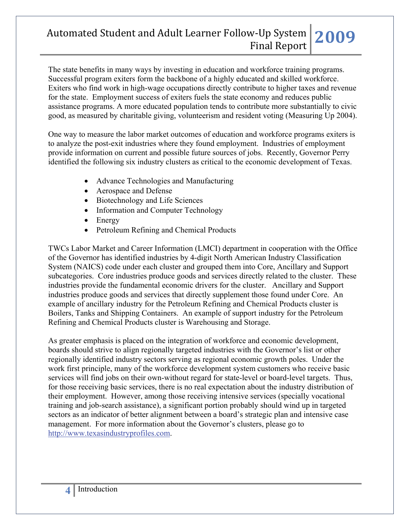### Automated Student and Adult Learner Follow‐Up System Final Report **2009**

The state benefits in many ways by investing in education and workforce training programs. Successful program exiters form the backbone of a highly educated and skilled workforce. Exiters who find work in high-wage occupations directly contribute to higher taxes and revenue for the state. Employment success of exiters fuels the state economy and reduces public assistance programs. A more educated population tends to contribute more substantially to civic good, as measured by charitable giving, volunteerism and resident voting (Measuring Up 2004).

One way to measure the labor market outcomes of education and workforce programs exiters is to analyze the post-exit industries where they found employment. Industries of employment provide information on current and possible future sources of jobs. Recently, Governor Perry identified the following six industry clusters as critical to the economic development of Texas.

- Advance Technologies and Manufacturing
- Aerospace and Defense
- Biotechnology and Life Sciences
- Information and Computer Technology
- Energy
- Petroleum Refining and Chemical Products

TWCs Labor Market and Career Information (LMCI) department in cooperation with the Office of the Governor has identified industries by 4-digit North American Industry Classification System (NAICS) code under each cluster and grouped them into Core, Ancillary and Support subcategories. Core industries produce goods and services directly related to the cluster. These industries provide the fundamental economic drivers for the cluster. Ancillary and Support industries produce goods and services that directly supplement those found under Core. An example of ancillary industry for the Petroleum Refining and Chemical Products cluster is Boilers, Tanks and Shipping Containers. An example of support industry for the Petroleum Refining and Chemical Products cluster is Warehousing and Storage.

As greater emphasis is placed on the integration of workforce and economic development, boards should strive to align regionally targeted industries with the Governor's list or other regionally identified industry sectors serving as regional economic growth poles. Under the work first principle, many of the workforce development system customers who receive basic services will find jobs on their own-without regard for state-level or board-level targets. Thus, for those receiving basic services, there is no real expectation about the industry distribution of their employment. However, among those receiving intensive services (specially vocational training and job-search assistance), a significant portion probably should wind up in targeted sectors as an indicator of better alignment between a board's strategic plan and intensive case management. For more information about the Governor's clusters, please go to [http://www.texasindustryprofiles.com.](http://www.texasindustryprofiles.com/)